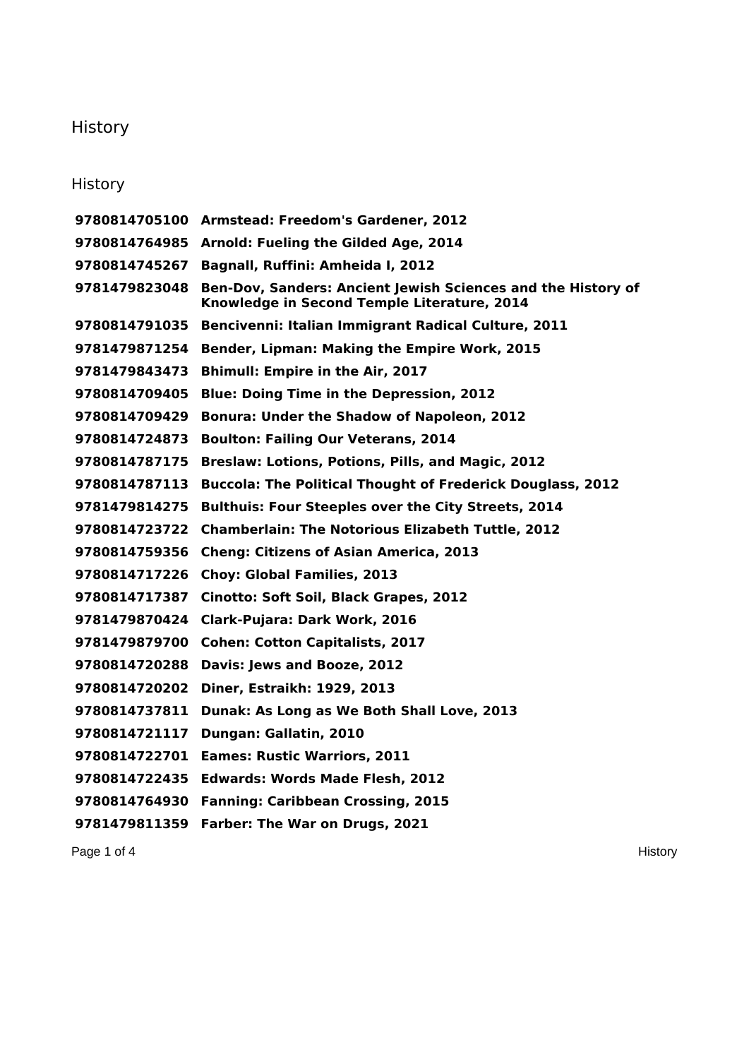## **History**

## **History**

 **Armstead: Freedom's Gardener, 2012 Arnold: Fueling the Gilded Age, 2014 Bagnall, Ruffini: Amheida I, 2012 Ben-Dov, Sanders: Ancient Jewish Sciences and the History of Knowledge in Second Temple Literature, 2014 Bencivenni: Italian Immigrant Radical Culture, 2011 Bender, Lipman: Making the Empire Work, 2015 Bhimull: Empire in the Air, 2017 Blue: Doing Time in the Depression, 2012 Bonura: Under the Shadow of Napoleon, 2012 Boulton: Failing Our Veterans, 2014 Breslaw: Lotions, Potions, Pills, and Magic, 2012 Buccola: The Political Thought of Frederick Douglass, 2012 Bulthuis: Four Steeples over the City Streets, 2014 Chamberlain: The Notorious Elizabeth Tuttle, 2012 Cheng: Citizens of Asian America, 2013 Choy: Global Families, 2013 Cinotto: Soft Soil, Black Grapes, 2012 Clark-Pujara: Dark Work, 2016 Cohen: Cotton Capitalists, 2017 Davis: Jews and Booze, 2012 Diner, Estraikh: 1929, 2013 Dunak: As Long as We Both Shall Love, 2013 Dungan: Gallatin, 2010 Eames: Rustic Warriors, 2011 Edwards: Words Made Flesh, 2012 Fanning: Caribbean Crossing, 2015 Farber: The War on Drugs, 2021**

Page 1 of 4 History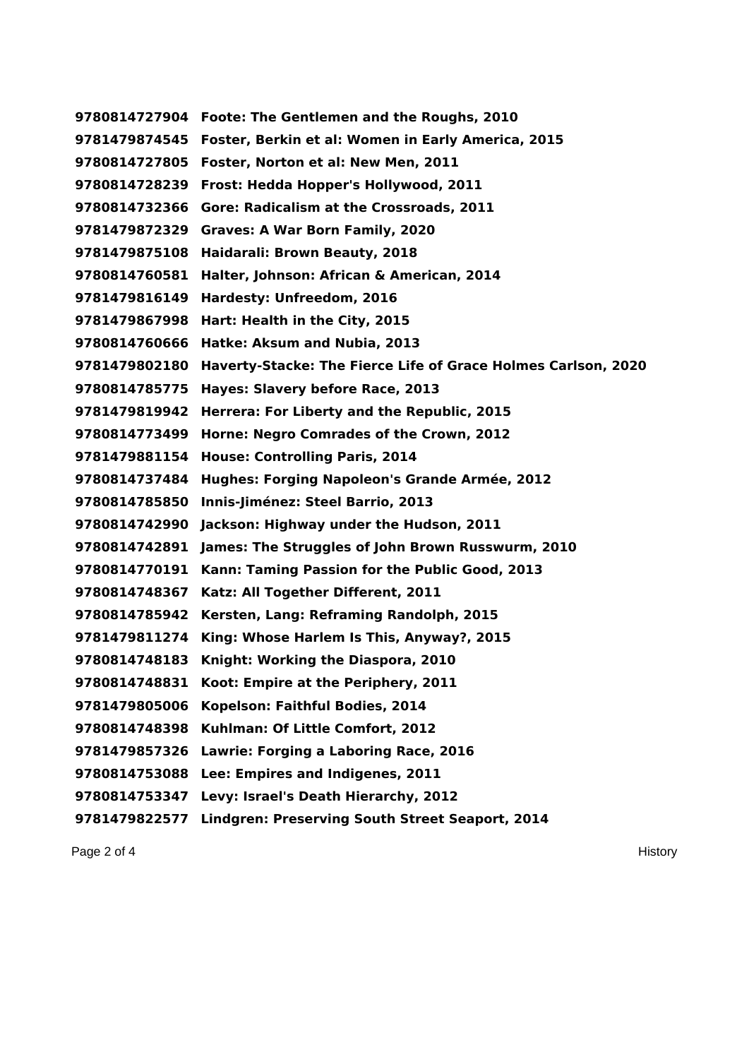**Foote: The Gentlemen and the Roughs, 2010 Foster, Berkin et al: Women in Early America, 2015 Foster, Norton et al: New Men, 2011 Frost: Hedda Hopper's Hollywood, 2011 Gore: Radicalism at the Crossroads, 2011 Graves: A War Born Family, 2020 Haidarali: Brown Beauty, 2018 Halter, Johnson: African & American, 2014 Hardesty: Unfreedom, 2016 Hart: Health in the City, 2015 Hatke: Aksum and Nubia, 2013 Haverty-Stacke: The Fierce Life of Grace Holmes Carlson, 2020 Hayes: Slavery before Race, 2013 Herrera: For Liberty and the Republic, 2015 Horne: Negro Comrades of the Crown, 2012 House: Controlling Paris, 2014 Hughes: Forging Napoleon's Grande Armée, 2012 Innis-Jiménez: Steel Barrio, 2013 Jackson: Highway under the Hudson, 2011 James: The Struggles of John Brown Russwurm, 2010 Kann: Taming Passion for the Public Good, 2013 Katz: All Together Different, 2011 Kersten, Lang: Reframing Randolph, 2015 King: Whose Harlem Is This, Anyway?, 2015 Knight: Working the Diaspora, 2010 Koot: Empire at the Periphery, 2011 Kopelson: Faithful Bodies, 2014 Kuhlman: Of Little Comfort, 2012 Lawrie: Forging a Laboring Race, 2016 Lee: Empires and Indigenes, 2011 Levy: Israel's Death Hierarchy, 2012 Lindgren: Preserving South Street Seaport, 2014**

Page 2 of 4 History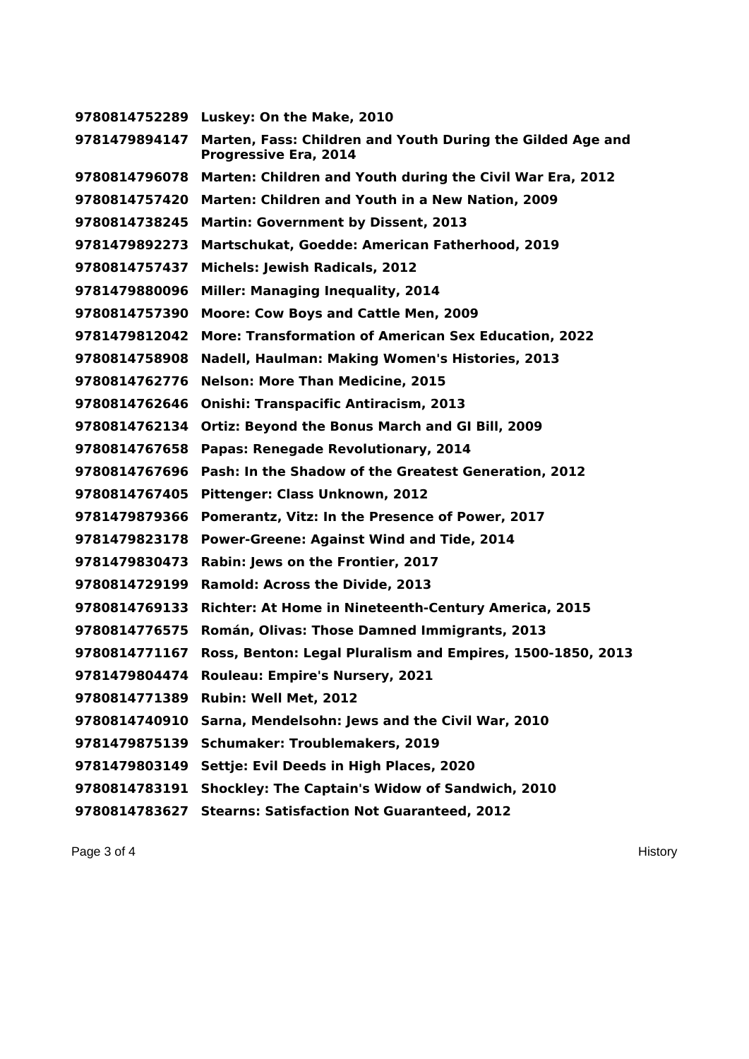**Luskey: On the Make, 2010 Marten, Fass: Children and Youth During the Gilded Age and Progressive Era, 2014 Marten: Children and Youth during the Civil War Era, 2012 Marten: Children and Youth in a New Nation, 2009 Martin: Government by Dissent, 2013 Martschukat, Goedde: American Fatherhood, 2019 Michels: Jewish Radicals, 2012 Miller: Managing Inequality, 2014 Moore: Cow Boys and Cattle Men, 2009 More: Transformation of American Sex Education, 2022 Nadell, Haulman: Making Women's Histories, 2013 Nelson: More Than Medicine, 2015 Onishi: Transpacific Antiracism, 2013 Ortiz: Beyond the Bonus March and GI Bill, 2009 Papas: Renegade Revolutionary, 2014 Pash: In the Shadow of the Greatest Generation, 2012 Pittenger: Class Unknown, 2012 Pomerantz, Vitz: In the Presence of Power, 2017 Power-Greene: Against Wind and Tide, 2014 Rabin: Jews on the Frontier, 2017 Ramold: Across the Divide, 2013 Richter: At Home in Nineteenth-Century America, 2015 Román, Olivas: Those Damned Immigrants, 2013 Ross, Benton: Legal Pluralism and Empires, 1500-1850, 2013 Rouleau: Empire's Nursery, 2021 Rubin: Well Met, 2012 Sarna, Mendelsohn: Jews and the Civil War, 2010 Schumaker: Troublemakers, 2019 Settje: Evil Deeds in High Places, 2020 Shockley: The Captain's Widow of Sandwich, 2010 Stearns: Satisfaction Not Guaranteed, 2012**

Page 3 of 4 **History Page 3 of 4**